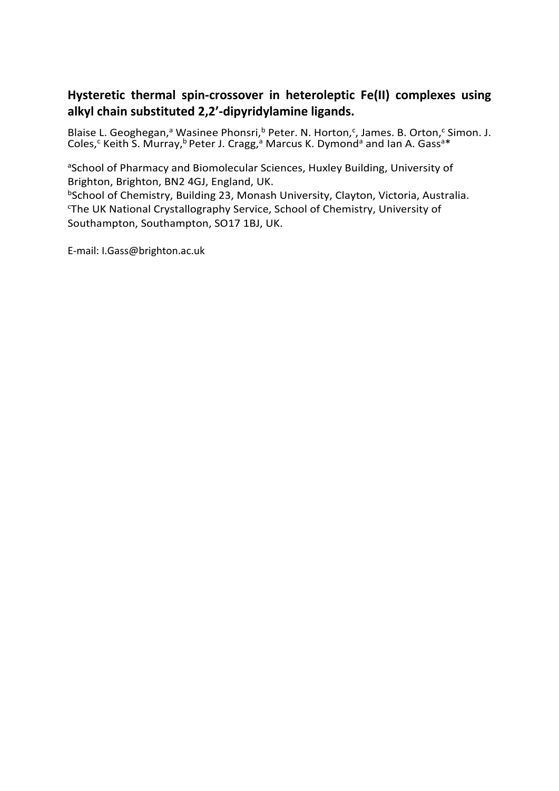# **Hysteretic thermal spin-crossover in heteroleptic Fe(II) complexes using alkyl chain substituted 2,2'-dipyridylamine ligands.**

Blaise L. Geoghegan,<sup>a</sup> Wasinee Phonsri,<sup>b</sup> Peter. N. Horton,<sup>c</sup>, James. B. Orton,<sup>c</sup> Simon. J. Coles,<sup>c</sup> Keith S. Murray,<sup>b</sup> Peter J. Cragg,<sup>a</sup> Marcus K. Dymond<sup>a</sup> and Ian A. Gass<sup>a\*</sup>

<sup>a</sup>School of Pharmacy and Biomolecular Sciences, Huxley Building, University of Brighton, Brighton, BN2 4GJ, England, UK.

bSchool of Chemistry, Building 23, Monash University, Clayton, Victoria, Australia. c The UK National Crystallography Service, School of Chemistry, University of Southampton, Southampton, SO17 1BJ, UK.

E-mail: I.Gass@brighton.ac.uk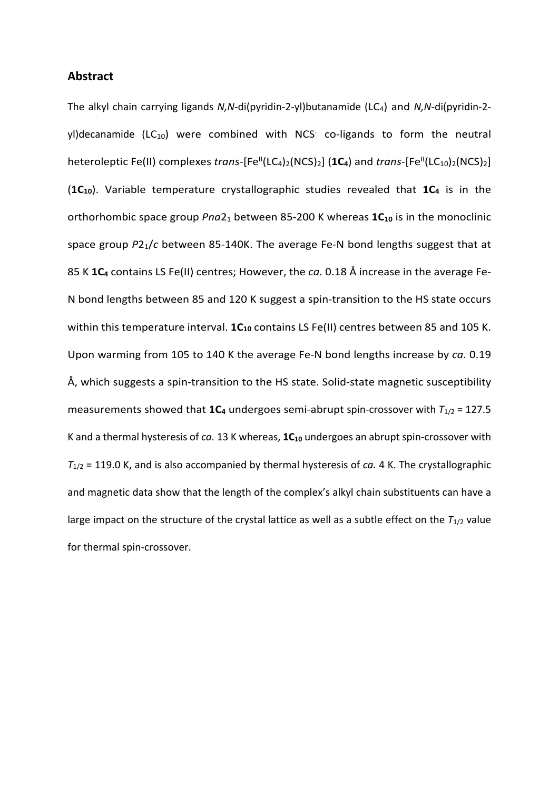## **Abstract**

The alkyl chain carrying ligands *N,N*-di(pyridin-2-yl)butanamide (LC4) and *N,N*-di(pyridin-2 yl)decanamide (LC $_{10}$ ) were combined with NCS<sup>-</sup> co-ligands to form the neutral heteroleptic Fe(II) complexes *trans*-[Fe<sup>II</sup>(LC<sub>4</sub>)<sub>2</sub>(NCS)<sub>2</sub>] (**1C<sub>4</sub>**) and *trans*-[Fe<sup>II</sup>(LC<sub>10</sub>)<sub>2</sub>(NCS)<sub>2</sub>] (1C<sub>10</sub>). Variable temperature crystallographic studies revealed that 1C<sub>4</sub> is in the orthorhombic space group *Pna*2<sub>1</sub> between 85-200 K whereas  $1C_{10}$  is in the monoclinic space group *P*21/*c* between 85-140K. The average Fe-N bond lengths suggest that at 85 K **1C4** contains LS Fe(II) centres; However, the *ca.* 0.18 Å increase in the average Fe-N bond lengths between 85 and 120 K suggest a spin-transition to the HS state occurs within this temperature interval. 1C<sub>10</sub> contains LS Fe(II) centres between 85 and 105 K. Upon warming from 105 to 140 K the average Fe-N bond lengths increase by *ca.* 0.19 Å, which suggests a spin-transition to the HS state. Solid-state magnetic susceptibility measurements showed that  $1C_4$  undergoes semi-abrupt spin-crossover with  $T_{1/2}$  = 127.5 K and a thermal hysteresis of *ca.* 13 K whereas, **1C10** undergoes an abrupt spin-crossover with *T*1/2 = 119.0 K, and is also accompanied by thermal hysteresis of *ca.* 4 K. The crystallographic and magnetic data show that the length of the complex's alkyl chain substituents can have a large impact on the structure of the crystal lattice as well as a subtle effect on the  $T_{1/2}$  value for thermal spin-crossover.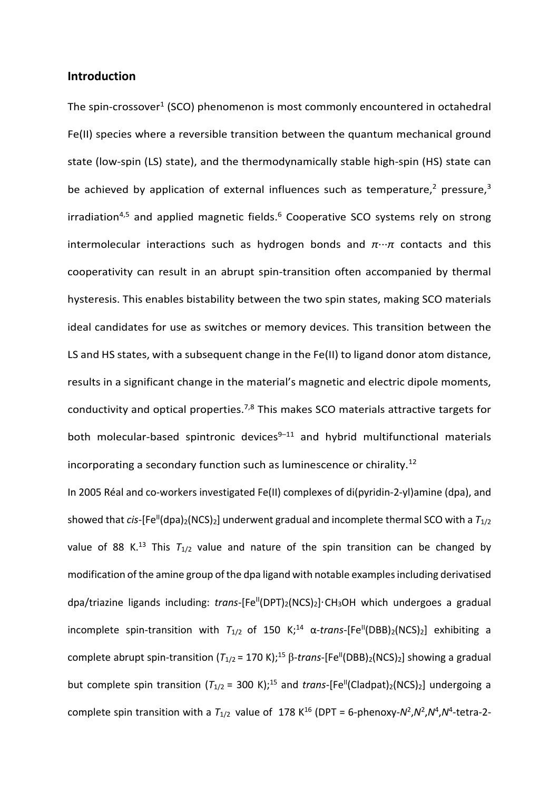## **Introduction**

The spin-crossover<sup>1</sup> (SCO) phenomenon is most commonly encountered in octahedral Fe(II) species where a reversible transition between the quantum mechanical ground state (low-spin (LS) state), and the thermodynamically stable high-spin (HS) state can be achieved by application of external influences such as temperature,<sup>2</sup> pressure,<sup>3</sup> irradiation<sup>4,5</sup> and applied magnetic fields.<sup>6</sup> Cooperative SCO systems rely on strong intermolecular interactions such as hydrogen bonds and *π*···*π* contacts and this cooperativity can result in an abrupt spin-transition often accompanied by thermal hysteresis. This enables bistability between the two spin states, making SCO materials ideal candidates for use as switches or memory devices. This transition between the LS and HS states, with a subsequent change in the Fe(II) to ligand donor atom distance, results in a significant change in the material's magnetic and electric dipole moments, conductivity and optical properties.<sup>7,8</sup> This makes SCO materials attractive targets for both molecular-based spintronic devices $9-11$  and hybrid multifunctional materials incorporating a secondary function such as luminescence or chirality.12

In 2005 Réal and co-workers investigated Fe(II) complexes of di(pyridin-2-yl)amine (dpa), and showed that *cis*-[Fe<sup>II</sup>(dpa)<sub>2</sub>(NCS)<sub>2</sub>] underwent gradual and incomplete thermal SCO with a  $T_{1/2}$ value of 88 K.<sup>13</sup> This  $T_{1/2}$  value and nature of the spin transition can be changed by modification of the amine group of the dpa ligand with notable examplesincluding derivatised dpa/triazine ligands including: *trans*-[Fe<sup>ll</sup>(DPT)<sub>2</sub>(NCS)<sub>2</sub>]·CH<sub>3</sub>OH which undergoes a gradual incomplete spin-transition with  $T_{1/2}$  of 150 K;<sup>14</sup>  $\alpha$ -trans-[Fe<sup>II</sup>(DBB)<sub>2</sub>(NCS)<sub>2</sub>] exhibiting a complete abrupt spin-transition  $(T_{1/2} = 170 \text{ K})$ ;<sup>15</sup> β-*trans*-[Fe<sup>II</sup>(DBB)<sub>2</sub>(NCS)<sub>2</sub>] showing a gradual but complete spin transition  $(T_{1/2} = 300 \text{ K})$ ;<sup>15</sup> and *trans*-[Fe<sup>II</sup>(Cladpat)<sub>2</sub>(NCS)<sub>2</sub>] undergoing a complete spin transition with a  $T_{1/2}$  value of 178 K<sup>16</sup> (DPT = 6-phenoxy- $N^2, N^2, N^4, N^4$ -tetra-2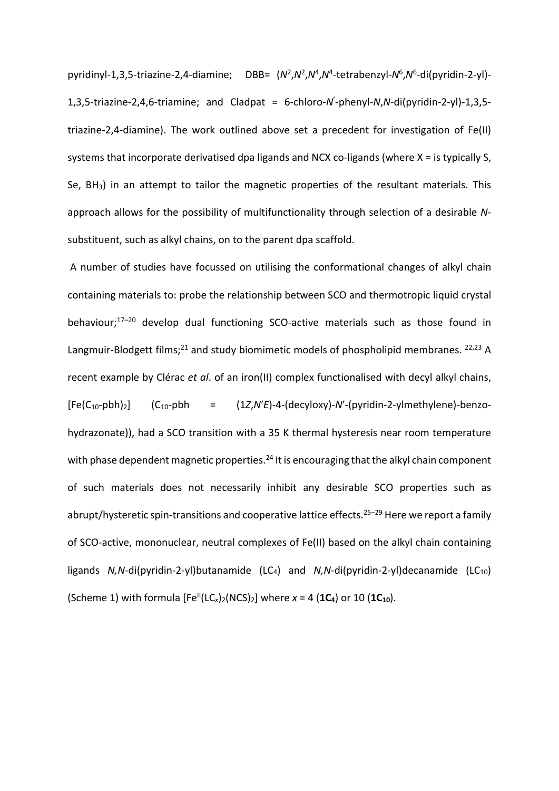pyridinyl-1,3,5-triazine-2,4-diamine; DBB= (*N*2,*N*2,*N*4,*N*4-tetrabenzyl-*N*6,*N*6-di(pyridin-2-yl)- 1,3,5-triazine-2,4,6-triamine; and Cladpat = 6-chloro-*N*' -phenyl-*N*,*N*-di(pyridin-2-yl)-1,3,5 triazine-2,4-diamine). The work outlined above set a precedent for investigation of Fe(II) systems that incorporate derivatised dpa ligands and NCX co-ligands (where X = is typically S, Se, BH3) in an attempt to tailor the magnetic properties of the resultant materials. This approach allows for the possibility of multifunctionality through selection of a desirable *N*substituent, such as alkyl chains, on to the parent dpa scaffold.

A number of studies have focussed on utilising the conformational changes of alkyl chain containing materials to: probe the relationship between SCO and thermotropic liquid crystal behaviour; 17–20 develop dual functioning SCO-active materials such as those found in Langmuir-Blodgett films;<sup>21</sup> and study biomimetic models of phospholipid membranes.  $22,23$  A recent example by Clérac *et al*. of an iron(II) complex functionalised with decyl alkyl chains, [Fe(C10-pbh)2] (C10-pbh = (1*Z*,*N*′*E*)-4-(decyloxy)-*N*′-(pyridin-2-ylmethylene)-benzohydrazonate)), had a SCO transition with a 35 K thermal hysteresis near room temperature with phase dependent magnetic properties.<sup>24</sup> It is encouraging that the alkyl chain component of such materials does not necessarily inhibit any desirable SCO properties such as abrupt/hysteretic spin-transitions and cooperative lattice effects.<sup>25-29</sup> Here we report a family of SCO-active, mononuclear, neutral complexes of Fe(II) based on the alkyl chain containing ligands *N,N*-di(pyridin-2-yl)butanamide (LC<sub>4</sub>) and *N,N*-di(pyridin-2-yl)decanamide (LC<sub>10</sub>) (Scheme 1) with formula  $[Fe^{II}(LC_x)_2(NCS)_2]$  where  $x = 4$  (1C<sub>4</sub>) or 10 (1C<sub>10</sub>).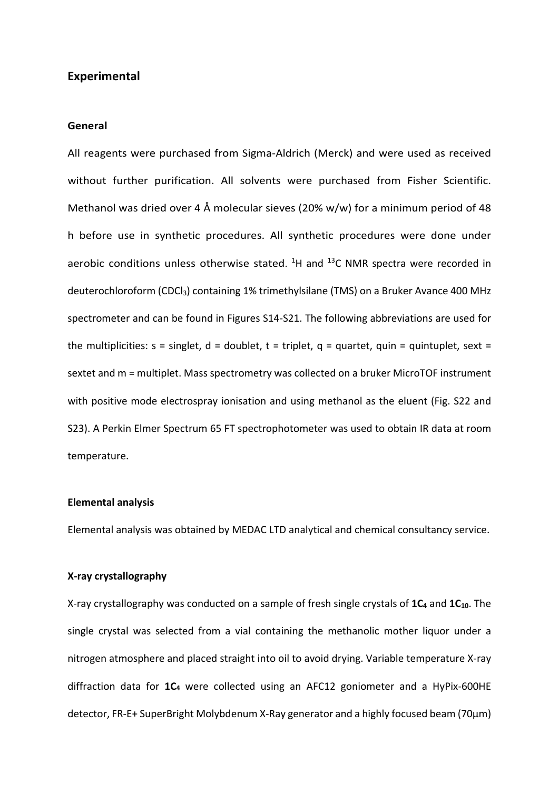## **Experimental**

#### **General**

All reagents were purchased from Sigma-Aldrich (Merck) and were used as received without further purification. All solvents were purchased from Fisher Scientific. Methanol was dried over 4 Å molecular sieves (20% w/w) for a minimum period of 48 h before use in synthetic procedures. All synthetic procedures were done under aerobic conditions unless otherwise stated.  $^{1}$ H and  $^{13}$ C NMR spectra were recorded in deuterochloroform (CDCl<sub>3</sub>) containing 1% trimethylsilane (TMS) on a Bruker Avance 400 MHz spectrometer and can be found in Figures S14-S21. The following abbreviations are used for the multiplicities:  $s =$  singlet,  $d =$  doublet,  $t =$  triplet,  $q =$  quartet, quin = quintuplet, sext = sextet and m = multiplet. Mass spectrometry was collected on a bruker MicroTOF instrument with positive mode electrospray ionisation and using methanol as the eluent (Fig. S22 and S23). A Perkin Elmer Spectrum 65 FT spectrophotometer was used to obtain IR data at room temperature.

## **Elemental analysis**

Elemental analysis was obtained by MEDAC LTD analytical and chemical consultancy service.

### **X-ray crystallography**

X-ray crystallography was conducted on a sample of fresh single crystals of 1C<sub>4</sub> and 1C<sub>10</sub>. The single crystal was selected from a vial containing the methanolic mother liquor under a nitrogen atmosphere and placed straight into oil to avoid drying. Variable temperature X-ray diffraction data for **1C4** were collected using an AFC12 goniometer and a HyPix-600HE detector, FR-E+ SuperBright Molybdenum X-Ray generator and a highly focused beam (70µm)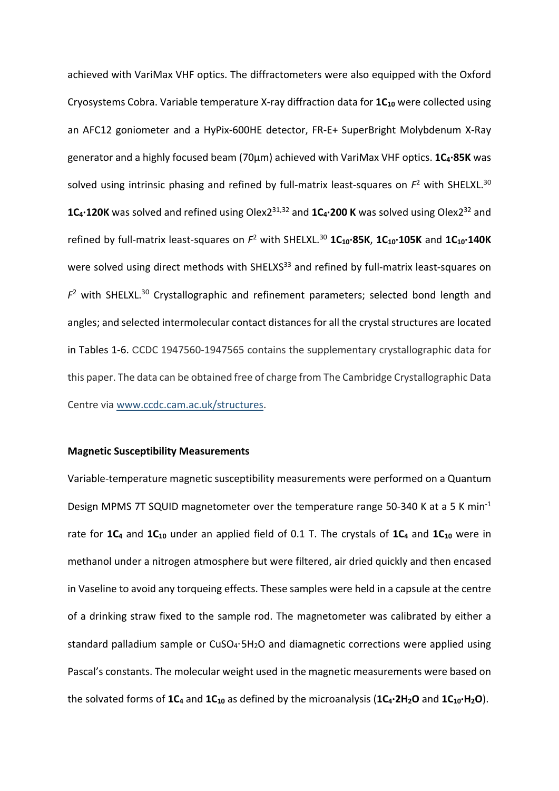achieved with VariMax VHF optics. The diffractometers were also equipped with the Oxford Cryosystems Cobra. Variable temperature X-ray diffraction data for 1C<sub>10</sub> were collected using an AFC12 goniometer and a HyPix-600HE detector, FR-E+ SuperBright Molybdenum X-Ray generator and a highly focused beam (70µm) achieved with VariMax VHF optics. **1C4·85K** was solved using intrinsic phasing and refined by full-matrix least-squares on  $F^2$  with SHELXL.<sup>30</sup> **1C4·120K** was solved and refined using Olex231,32 and **1C4·200 K** was solved using Olex232 and refined by full-matrix least-squares on  $F^2$  with SHELXL.<sup>30</sup> 1C<sub>10</sub>·85K, 1C<sub>10</sub>·105K and 1C<sub>10</sub>·140K were solved using direct methods with SHELXS<sup>33</sup> and refined by full-matrix least-squares on *F*<sup>2</sup> with SHELXL.30 Crystallographic and refinement parameters; selected bond length and angles; and selected intermolecular contact distances for all the crystal structures are located in Tables 1-6. CCDC 1947560-1947565 contains the supplementary crystallographic data for this paper. The data can be obtained free of charge from The Cambridge Crystallographic Data Centre via [www.ccdc.cam.ac.uk/structures.](https://www.ccdc.cam.ac.uk/structures)

### **Magnetic Susceptibility Measurements**

Variable-temperature magnetic susceptibility measurements were performed on a Quantum Design MPMS 7T SQUID magnetometer over the temperature range 50-340 K at a 5 K min<sup>-1</sup> rate for 1C<sub>4</sub> and 1C<sub>10</sub> under an applied field of 0.1 T. The crystals of 1C<sub>4</sub> and 1C<sub>10</sub> were in methanol under a nitrogen atmosphere but were filtered, air dried quickly and then encased in Vaseline to avoid any torqueing effects. These samples were held in a capsule at the centre of a drinking straw fixed to the sample rod. The magnetometer was calibrated by either a standard palladium sample or CuSO<sub>4</sub>·5H<sub>2</sub>O and diamagnetic corrections were applied using Pascal's constants. The molecular weight used in the magnetic measurements were based on the solvated forms of  $1C_4$  and  $1C_{10}$  as defined by the microanalysis ( $1C_4 \cdot 2H_2O$  and  $1C_{10} \cdot H_2O$ ).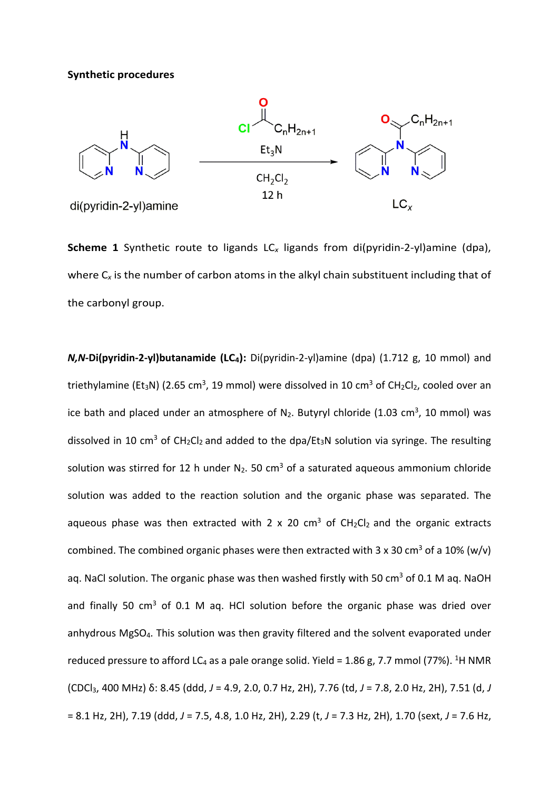### **Synthetic procedures**



**Scheme 1** Synthetic route to ligands LC<sub>x</sub> ligands from di(pyridin-2-yl)amine (dpa), where C*<sup>x</sup>* is the number of carbon atoms in the alkyl chain substituent including that of the carbonyl group.

*N,N***-Di(pyridin-2-yl)butanamide (LC<sub>4</sub>):** Di(pyridin-2-yl)amine (dpa) (1.712 g, 10 mmol) and triethylamine (Et<sub>3</sub>N) (2.65 cm<sup>3</sup>, 19 mmol) were dissolved in 10 cm<sup>3</sup> of CH<sub>2</sub>Cl<sub>2</sub>, cooled over an ice bath and placed under an atmosphere of  $N_2$ . Butyryl chloride (1.03 cm<sup>3</sup>, 10 mmol) was dissolved in 10 cm<sup>3</sup> of CH<sub>2</sub>Cl<sub>2</sub> and added to the dpa/Et<sub>3</sub>N solution via syringe. The resulting solution was stirred for 12 h under  $N_2$ . 50 cm<sup>3</sup> of a saturated aqueous ammonium chloride solution was added to the reaction solution and the organic phase was separated. The aqueous phase was then extracted with 2 x 20 cm<sup>3</sup> of  $CH_2Cl_2$  and the organic extracts combined. The combined organic phases were then extracted with 3 x 30 cm<sup>3</sup> of a 10% (w/v) aq. NaCl solution. The organic phase was then washed firstly with 50 cm<sup>3</sup> of 0.1 M aq. NaOH and finally 50  $\text{cm}^3$  of 0.1 M aq. HCl solution before the organic phase was dried over anhydrous MgSO4. This solution was then gravity filtered and the solvent evaporated under reduced pressure to afford LC<sub>4</sub> as a pale orange solid. Yield = 1.86 g, 7.7 mmol (77%). <sup>1</sup>H NMR (CDCl3, 400 MHz) δ: 8.45 (ddd, *J* = 4.9, 2.0, 0.7 Hz, 2H), 7.76 (td, *J* = 7.8, 2.0 Hz, 2H), 7.51 (d, *J* = 8.1 Hz, 2H), 7.19 (ddd, *J* = 7.5, 4.8, 1.0 Hz, 2H), 2.29 (t, *J* = 7.3 Hz, 2H), 1.70 (sext, *J* = 7.6 Hz,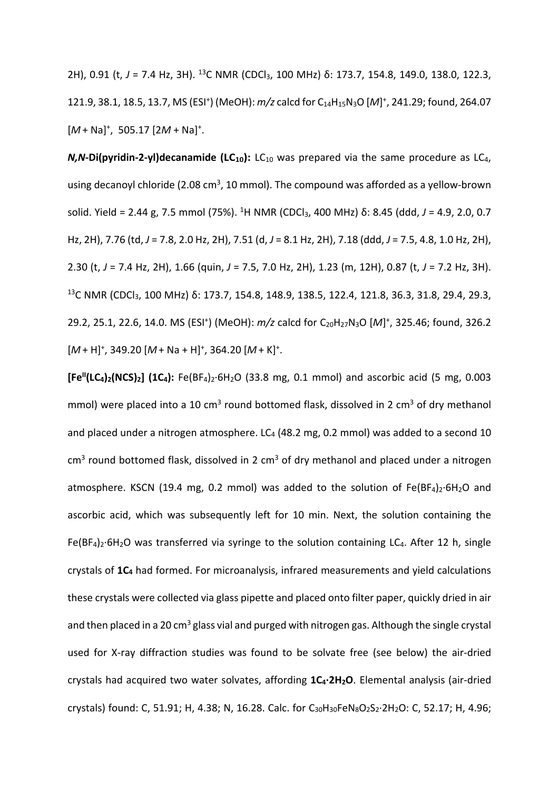2H), 0.91 (t, *J* = 7.4 Hz, 3H). 13C NMR (CDCl3, 100 MHz) δ: 173.7, 154.8, 149.0, 138.0, 122.3, 121.9, 38.1, 18.5, 13.7, MS (ESI<sup>+</sup>) (MeOH):  $m/z$  calcd for C<sub>14</sub>H<sub>15</sub>N<sub>3</sub>O [M]<sup>+</sup>, 241.29; found, 264.07 [ $M$  + Na]<sup>+</sup>, 505.17 [2 $M$  + Na]<sup>+</sup>.

*N,N***-Di(pyridin-2-yl)decanamide (LC<sub>10</sub>):** LC<sub>10</sub> was prepared via the same procedure as LC<sub>4</sub>, using decanoyl chloride (2.08 cm<sup>3</sup>, 10 mmol). The compound was afforded as a yellow-brown solid. Yield = 2.44 g, 7.5 mmol (75%). <sup>1</sup>H NMR (CDCl<sub>3</sub>, 400 MHz) δ: 8.45 (ddd, J = 4.9, 2.0, 0.7 Hz, 2H), 7.76 (td, *J* = 7.8, 2.0 Hz, 2H), 7.51 (d, *J* = 8.1 Hz, 2H), 7.18 (ddd, *J* = 7.5, 4.8, 1.0 Hz, 2H), 2.30 (t, *J* = 7.4 Hz, 2H), 1.66 (quin, *J* = 7.5, 7.0 Hz, 2H), 1.23 (m, 12H), 0.87 (t, *J* = 7.2 Hz, 3H). <sup>13</sup>C NMR (CDCl<sub>3</sub>, 100 MHz) δ: 173.7, 154.8, 148.9, 138.5, 122.4, 121.8, 36.3, 31.8, 29.4, 29.3, 29.2, 25.1, 22.6, 14.0. MS (ESI<sup>+</sup>) (MeOH):  $m/z$  calcd for C<sub>20</sub>H<sub>27</sub>N<sub>3</sub>O [M]<sup>+</sup>, 325.46; found, 326.2 [M + H]<sup>+</sup>, 349.20 [M + Na + H]<sup>+</sup>, 364.20 [M + K]<sup>+</sup>.

**[Fe<sup>II</sup>(LC<sub>4</sub>)<sub>2</sub>(NCS)<sub>2</sub>] (1C<sub>4</sub>):** Fe(BF<sub>4</sub>)<sub>2</sub>·6H<sub>2</sub>O (33.8 mg, 0.1 mmol) and ascorbic acid (5 mg, 0.003 mmol) were placed into a 10 cm<sup>3</sup> round bottomed flask, dissolved in 2 cm<sup>3</sup> of dry methanol and placed under a nitrogen atmosphere. LC $_4$  (48.2 mg, 0.2 mmol) was added to a second 10  $cm<sup>3</sup>$  round bottomed flask, dissolved in 2  $cm<sup>3</sup>$  of dry methanol and placed under a nitrogen atmosphere. KSCN (19.4 mg, 0.2 mmol) was added to the solution of  $Fe(BF<sub>4</sub>)<sub>2</sub>·6H<sub>2</sub>O$  and ascorbic acid, which was subsequently left for 10 min. Next, the solution containing the  $Fe(BF<sub>4</sub>)<sub>2</sub>·6H<sub>2</sub>O$  was transferred via syringe to the solution containing LC<sub>4</sub>. After 12 h, single crystals of **1C4** had formed. For microanalysis, infrared measurements and yield calculations these crystals were collected via glass pipette and placed onto filter paper, quickly dried in air and then placed in a 20 cm<sup>3</sup> glass vial and purged with nitrogen gas. Although the single crystal used for X-ray diffraction studies was found to be solvate free (see below) the air-dried crystals had acquired two water solvates, affording **1C4·2H2O**. Elemental analysis (air-dried crystals) found: C, 51.91; H, 4.38; N, 16.28. Calc. for C<sub>30</sub>H<sub>30</sub>FeN<sub>8</sub>O<sub>2</sub>S<sub>2</sub>·2H<sub>2</sub>O: C, 52.17; H, 4.96;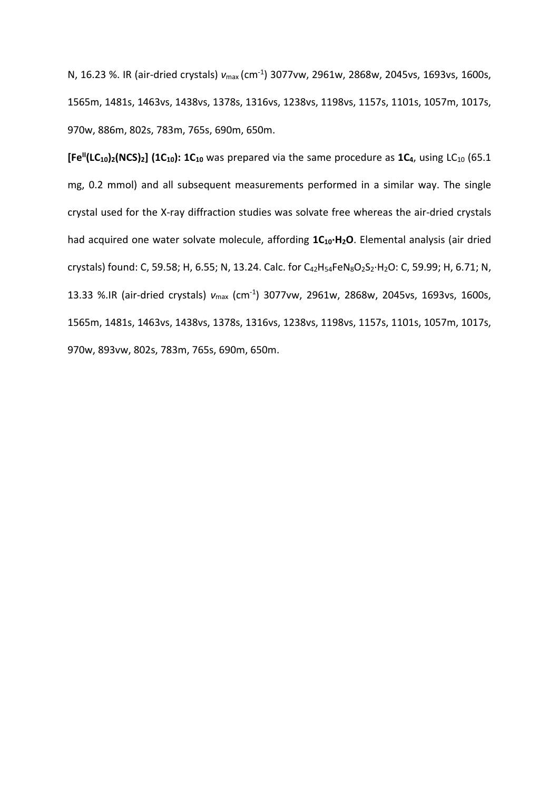N, 16.23 %. IR (air-dried crystals) *ν*max (cm-1) 3077vw, 2961w, 2868w, 2045vs, 1693vs, 1600s, 1565m, 1481s, 1463vs, 1438vs, 1378s, 1316vs, 1238vs, 1198vs, 1157s, 1101s, 1057m, 1017s, 970w, 886m, 802s, 783m, 765s, 690m, 650m.

 $[Fe^{II}(LC_{10})_2(NCS)_2]$  (1C<sub>10</sub>): 1C<sub>10</sub> was prepared via the same procedure as 1C<sub>4</sub>, using LC<sub>10</sub> (65.1) mg, 0.2 mmol) and all subsequent measurements performed in a similar way. The single crystal used for the X-ray diffraction studies was solvate free whereas the air-dried crystals had acquired one water solvate molecule, affording  $1C_{10} \cdot H_2O$ . Elemental analysis (air dried crystals) found: C, 59.58; H, 6.55; N, 13.24. Calc. for C<sub>42</sub>H<sub>54</sub>FeN<sub>8</sub>O<sub>2</sub>S<sub>2</sub>·H<sub>2</sub>O: C, 59.99; H, 6.71; N, 13.33 %.IR (air-dried crystals) *ν*max (cm-1) 3077vw, 2961w, 2868w, 2045vs, 1693vs, 1600s, 1565m, 1481s, 1463vs, 1438vs, 1378s, 1316vs, 1238vs, 1198vs, 1157s, 1101s, 1057m, 1017s, 970w, 893vw, 802s, 783m, 765s, 690m, 650m.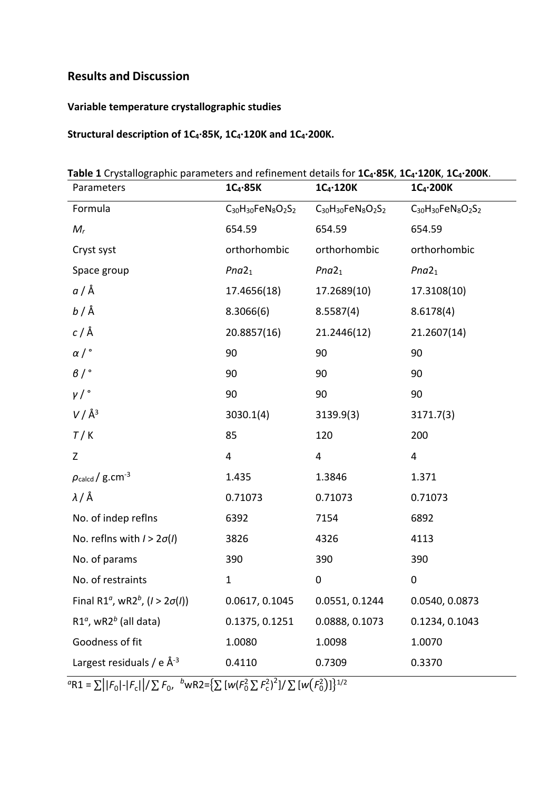# **Results and Discussion**

# **Variable temperature crystallographic studies**

# **Structural description of 1C4·85K, 1C4·120K and 1C4·200K.**

**Table 1** Crystallographic parameters and refinement details for **1C4·85K**, **1C4·120K**, **1C4·200K**.

| Parameters                                                                                                    | $1C_4.85K$                | $1C_4 \cdot 120K$         | $1C_4$ -200K              |
|---------------------------------------------------------------------------------------------------------------|---------------------------|---------------------------|---------------------------|
| Formula                                                                                                       | $C_{30}H_{30}FeN_8O_2S_2$ | $C_{30}H_{30}FeN_8O_2S_2$ | $C_{30}H_{30}FeN_8O_2S_2$ |
| $M_r$                                                                                                         | 654.59                    | 654.59                    | 654.59                    |
| Cryst syst                                                                                                    | orthorhombic              | orthorhombic              | orthorhombic              |
| Space group                                                                                                   | Pna2 <sub>1</sub>         | Pna2 <sub>1</sub>         | Pna2 <sub>1</sub>         |
| <i>a</i> / Å                                                                                                  | 17.4656(18)               | 17.2689(10)               | 17.3108(10)               |
| <i>b</i> / Å                                                                                                  | 8.3066(6)                 | 8.5587(4)                 | 8.6178(4)                 |
| $c/\text{\AA}$                                                                                                | 20.8857(16)               | 21.2446(12)               | 21.2607(14)               |
| $\alpha$ / $\degree$                                                                                          | 90                        | 90                        | 90                        |
| $\beta$ / $\degree$                                                                                           | 90                        | 90                        | 90                        |
| $\gamma/$ °                                                                                                   | 90                        | 90                        | 90                        |
| $V/\AA$ <sup>3</sup>                                                                                          | 3030.1(4)                 | 3139.9(3)                 | 3171.7(3)                 |
| T/K                                                                                                           | 85                        | 120                       | 200                       |
| Z                                                                                                             | 4                         | $\overline{4}$            | 4                         |
| $\rho_{\mathsf{calcd}}/$ g.cm <sup>-3</sup>                                                                   | 1.435                     | 1.3846                    | 1.371                     |
| λ/Å                                                                                                           | 0.71073                   | 0.71073                   | 0.71073                   |
| No. of indep reflns                                                                                           | 6392                      | 7154                      | 6892                      |
| No. reflns with $1 > 2\sigma(1)$                                                                              | 3826                      | 4326                      | 4113                      |
| No. of params                                                                                                 | 390                       | 390                       | 390                       |
| No. of restraints                                                                                             | $\mathbf{1}$              | $\pmb{0}$                 | $\pmb{0}$                 |
| Final R1 <sup><math>\alpha</math></sup> , wR2 <sup><math>\frac{b}{\alpha}</math></sup> , ( $l > 2\sigma(l)$ ) | 0.0617, 0.1045            | 0.0551, 0.1244            | 0.0540, 0.0873            |
| $R1a$ , wR2 <sup>b</sup> (all data)                                                                           | 0.1375, 0.1251            | 0.0888, 0.1073            | 0.1234, 0.1043            |
| Goodness of fit                                                                                               | 1.0080                    | 1.0098                    | 1.0070                    |
| Largest residuals / e $\AA^{-3}$                                                                              | 0.4110                    | 0.7309                    | 0.3370                    |

 ${}^{\alpha}$ R1 =  $\sum | |F_0| - |F_c| | / \sum F_0$ ,  ${}^{\beta}$ wR2={ $\sum [w(F_0^2 \sum F_c^2)^2] / \sum [w(F_0^2)] \}^{1/2}$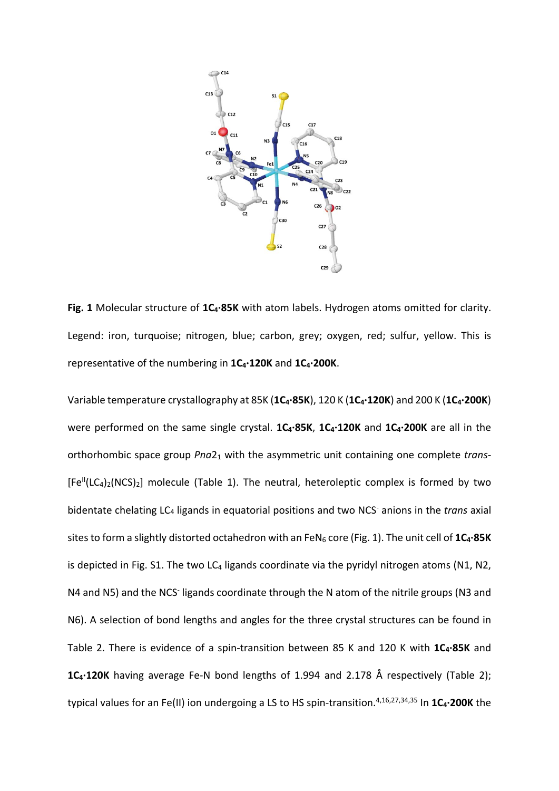

Fig. 1 Molecular structure of 1C<sub>4</sub>·85K with atom labels. Hydrogen atoms omitted for clarity. Legend: iron, turquoise; nitrogen, blue; carbon, grey; oxygen, red; sulfur, yellow. This is representative of the numbering in **1C4·120K** and **1C4·200K**.

Variable temperature crystallography at 85K (**1C4·85K**), 120 K (**1C4·120K**) and 200 K (**1C4·200K**) were performed on the same single crystal. 1C<sub>4</sub>·85K, 1C<sub>4</sub>·120K and 1C<sub>4</sub>·200K are all in the orthorhombic space group *Pna*21 with the asymmetric unit containing one complete *trans*-  $[Fe^{II}(LC_4)_2(NCS)_2]$  molecule (Table 1). The neutral, heteroleptic complex is formed by two bidentate chelating LC4 ligands in equatorial positions and two NCS- anions in the *trans* axial sites to form a slightly distorted octahedron with an FeN<sub>6</sub> core (Fig. 1). The unit cell of 1C<sub>4</sub>·85K is depicted in Fig. S1. The two LC<sub>4</sub> ligands coordinate via the pyridyl nitrogen atoms (N1, N2, N4 and N5) and the NCS- ligands coordinate through the N atom of the nitrile groups (N3 and N6). A selection of bond lengths and angles for the three crystal structures can be found in Table 2. There is evidence of a spin-transition between 85 K and 120 K with **1C4·85K** and **1C<sub>4</sub>·120K** having average Fe-N bond lengths of 1.994 and 2.178 Å respectively (Table 2); typical values for an Fe(II) ion undergoing a LS to HS spin-transition.<sup>4,16,27,34,35</sup> In 1C<sub>4</sub>.200K the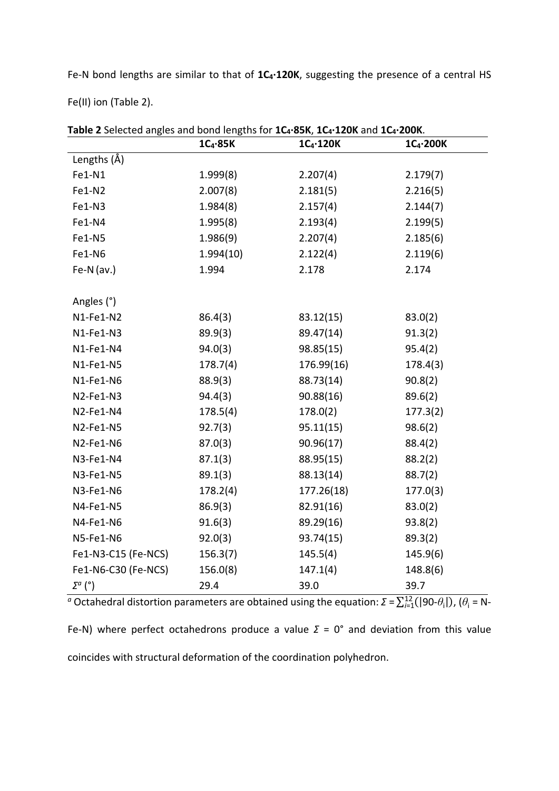Fe-N bond lengths are similar to that of  $1C_4 \cdot 120K$ , suggesting the presence of a central HS

Fe(II) ion (Table 2).

|                     | $1C_4.85K$ | $1C_4 \cdot 120K$ | $1C_4$ -200K |
|---------------------|------------|-------------------|--------------|
| Lengths (Å)         |            |                   |              |
| Fe1-N1              | 1.999(8)   | 2.207(4)          | 2.179(7)     |
| Fe1-N2              | 2.007(8)   | 2.181(5)          | 2.216(5)     |
| Fe1-N3              | 1.984(8)   | 2.157(4)          | 2.144(7)     |
| Fe1-N4              | 1.995(8)   | 2.193(4)          | 2.199(5)     |
| Fe1-N5              | 1.986(9)   | 2.207(4)          | 2.185(6)     |
| Fe1-N6              | 1.994(10)  | 2.122(4)          | 2.119(6)     |
| Fe-N $(av.)$        | 1.994      | 2.178             | 2.174        |
|                     |            |                   |              |
| Angles (°)          |            |                   |              |
| N1-Fe1-N2           | 86.4(3)    | 83.12(15)         | 83.0(2)      |
| N1-Fe1-N3           | 89.9(3)    | 89.47(14)         | 91.3(2)      |
| N1-Fe1-N4           | 94.0(3)    | 98.85(15)         | 95.4(2)      |
| N1-Fe1-N5           | 178.7(4)   | 176.99(16)        | 178.4(3)     |
| N1-Fe1-N6           | 88.9(3)    | 88.73(14)         | 90.8(2)      |
| N2-Fe1-N3           | 94.4(3)    | 90.88(16)         | 89.6(2)      |
| N2-Fe1-N4           | 178.5(4)   | 178.0(2)          | 177.3(2)     |
| N2-Fe1-N5           | 92.7(3)    | 95.11(15)         | 98.6(2)      |
| N2-Fe1-N6           | 87.0(3)    | 90.96(17)         | 88.4(2)      |
| N3-Fe1-N4           | 87.1(3)    | 88.95(15)         | 88.2(2)      |
| N3-Fe1-N5           | 89.1(3)    | 88.13(14)         | 88.7(2)      |
| N3-Fe1-N6           | 178.2(4)   | 177.26(18)        | 177.0(3)     |
| N4-Fe1-N5           | 86.9(3)    | 82.91(16)         | 83.0(2)      |
| N4-Fe1-N6           | 91.6(3)    | 89.29(16)         | 93.8(2)      |
| N5-Fe1-N6           | 92.0(3)    | 93.74(15)         | 89.3(2)      |
| Fe1-N3-C15 (Fe-NCS) | 156.3(7)   | 145.5(4)          | 145.9(6)     |
| Fe1-N6-C30 (Fe-NCS) | 156.0(8)   | 147.1(4)          | 148.8(6)     |
| $\Sigma^a$ (°)      | 29.4       | 39.0              | 39.7         |

**Table 2** Selected angles and bond lengths for **1C4·85K**, **1C4·120K** and **1C4·200K**.

 $^a$  Octahedral distortion parameters are obtained using the equation:  $\Sigma = \sum_{i=1}^{12} (|90-\theta_i|)$ ,  $(\theta_i = N-$ Fe-N) where perfect octahedrons produce a value *Σ* = 0° and deviation from this value coincides with structural deformation of the coordination polyhedron.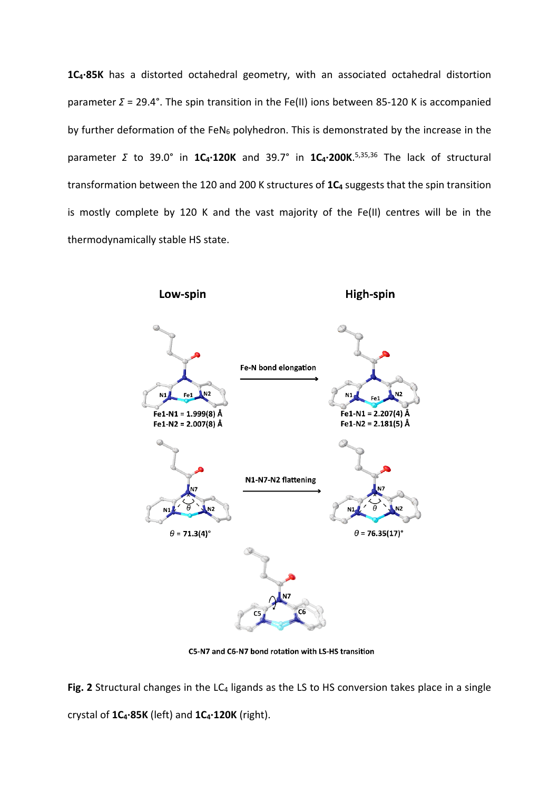1C<sub>4</sub>·85K has a distorted octahedral geometry, with an associated octahedral distortion parameter *Σ* = 29.4°. The spin transition in the Fe(II) ions between 85-120 K is accompanied by further deformation of the FeN<sub>6</sub> polyhedron. This is demonstrated by the increase in the parameter *Σ* to 39.0° in **1C4·120K** and 39.7° in **1C4·200K**. 5,35,36 The lack of structural transformation between the 120 and 200 K structures of 1C<sub>4</sub> suggests that the spin transition is mostly complete by 120 K and the vast majority of the Fe(II) centres will be in the thermodynamically stable HS state.



C5-N7 and C6-N7 bond rotation with LS-HS transition

Fig. 2 Structural changes in the LC<sub>4</sub> ligands as the LS to HS conversion takes place in a single crystal of **1C4·85K** (left) and **1C4·120K** (right).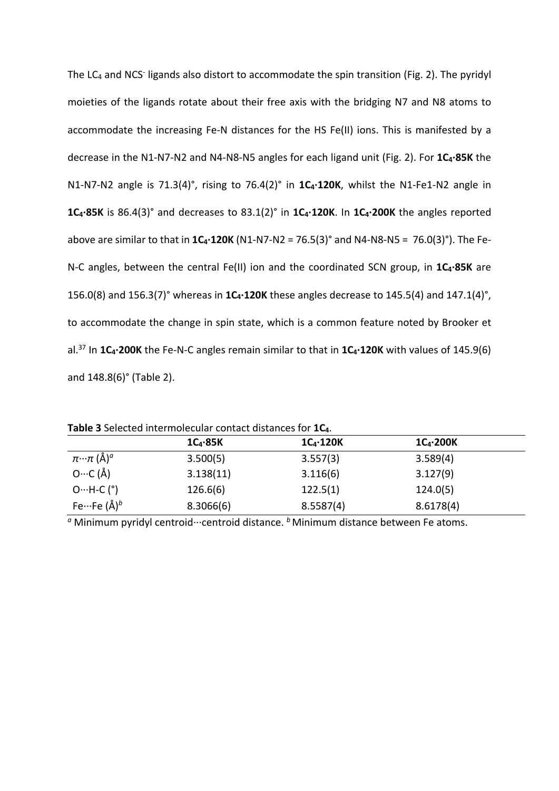The LC4 and NCS- ligands also distort to accommodate the spin transition (Fig. 2). The pyridyl moieties of the ligands rotate about their free axis with the bridging N7 and N8 atoms to accommodate the increasing Fe-N distances for the HS Fe(II) ions. This is manifested by a decrease in the N1-N7-N2 and N4-N8-N5 angles for each ligand unit (Fig. 2). For **1C4·85K** the N1-N7-N2 angle is 71.3(4)°, rising to 76.4(2)° in **1C4·120K**, whilst the N1-Fe1-N2 angle in **1C4·85K** is 86.4(3)° and decreases to 83.1(2)° in **1C4·120K**. In **1C4·200K** the angles reported above are similar to that in **1C4·120K** (N1-N7-N2 = 76.5(3)° and N4-N8-N5 = 76.0(3)°). The Fe-N-C angles, between the central Fe(II) ion and the coordinated SCN group, in **1C4·85K** are 156.0(8) and 156.3(7)° whereas in **1C4·120K** these angles decrease to 145.5(4) and 147.1(4)°, to accommodate the change in spin state, which is a common feature noted by Brooker et al.<sup>37</sup> In 1C<sub>4</sub>·200K the Fe-N-C angles remain similar to that in 1C<sub>4</sub>·120K with values of 145.9(6) and 148.8(6)° (Table 2).

|                                               | $1C_4.85K$ | $1C_4 \cdot 120K$ | $1C_4$ -200K |  |
|-----------------------------------------------|------------|-------------------|--------------|--|
| $\pi \cdot \cdot \pi$ (Å) <sup><i>a</i></sup> | 3.500(5)   | 3.557(3)          | 3.589(4)     |  |
| $O \cdots C$ (Å)                              | 3.138(11)  | 3.116(6)          | 3.127(9)     |  |
| $O \cdot \cdot \cdot H \cdot C$ (°)           | 126.6(6)   | 122.5(1)          | 124.0(5)     |  |
| Fe $\cdots$ Fe (Å) <sup>b</sup>               | 8.3066(6)  | 8.5587(4)         | 8.6178(4)    |  |

**Table 3** Selected intermolecular contact distances for **1C4**.

*a* Minimum pyridyl centroid···centroid distance. <sup>*b*</sup> Minimum distance between Fe atoms.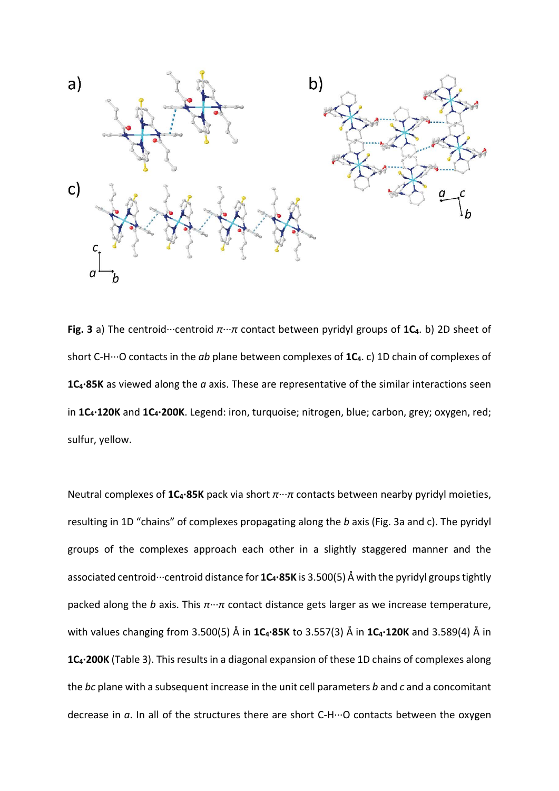

**Fig. 3** a) The centroid···centroid *π*···*π* contact between pyridyl groups of **1C4**. b) 2D sheet of short C-H···O contacts in the *ab* plane between complexes of **1C4**. c) 1D chain of complexes of **1C4·85K** as viewed along the *a* axis. These are representative of the similar interactions seen in **1C4·120K** and **1C4·200K**. Legend: iron, turquoise; nitrogen, blue; carbon, grey; oxygen, red; sulfur, yellow.

Neutral complexes of **1C4·85K** pack via short *π*···*π* contacts between nearby pyridyl moieties, resulting in 1D "chains" of complexes propagating along the *b* axis (Fig. 3a and c). The pyridyl groups of the complexes approach each other in a slightly staggered manner and the associated centroid···centroid distance for **1C<sub>4</sub>·85K** is 3.500(5) Å with the pyridyl groups tightly packed along the *b* axis. This *π*···*π* contact distance gets larger as we increase temperature, with values changing from 3.500(5) Å in **1C4·85K** to 3.557(3) Å in **1C4·120K** and 3.589(4) Å in 1C<sub>4</sub>·200K (Table 3). This results in a diagonal expansion of these 1D chains of complexes along the *bc* plane with a subsequent increase in the unit cell parameters *b* and *c* and a concomitant decrease in *a*. In all of the structures there are short C-H···O contacts between the oxygen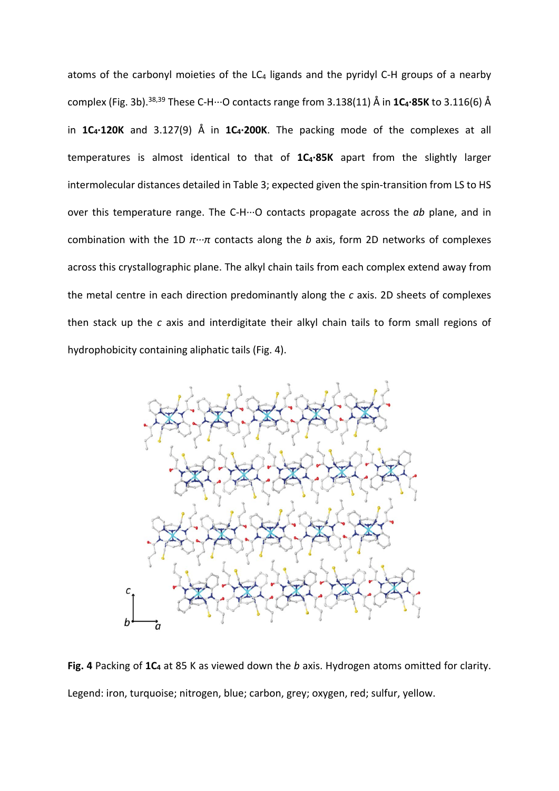atoms of the carbonyl moieties of the  $LC_4$  ligands and the pyridyl C-H groups of a nearby complex (Fig. 3b).38,39 These C-H···O contacts range from 3.138(11) Å in **1C4·85K** to 3.116(6) Å in  $1C_4 \cdot 120K$  and  $3.127(9)$  Å in  $1C_4 \cdot 200K$ . The packing mode of the complexes at all temperatures is almost identical to that of **1C4·85K** apart from the slightly larger intermolecular distances detailed in Table 3; expected given the spin-transition from LS to HS over this temperature range. The C-H···O contacts propagate across the *ab* plane, and in combination with the 1D *π···π* contacts along the *b* axis, form 2D networks of complexes across this crystallographic plane. The alkyl chain tails from each complex extend away from the metal centre in each direction predominantly along the *c* axis. 2D sheets of complexes then stack up the *c* axis and interdigitate their alkyl chain tails to form small regions of hydrophobicity containing aliphatic tails (Fig. 4).



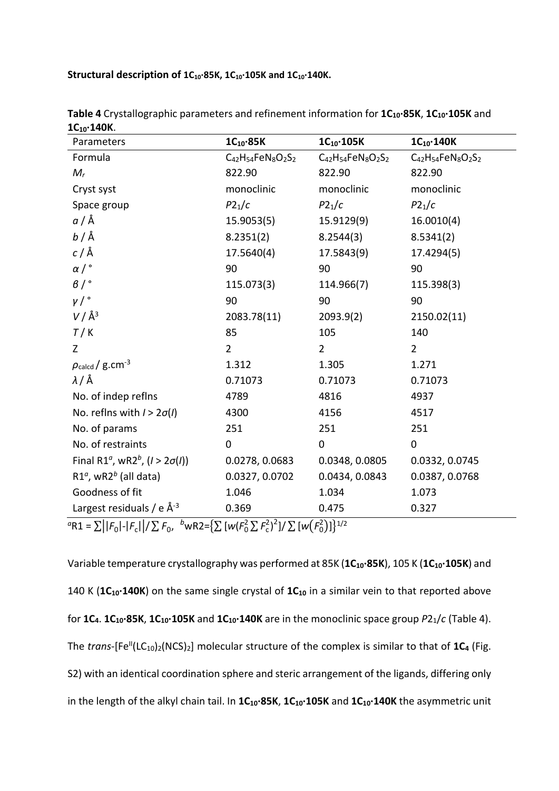Structural description of 1C<sub>10</sub>·85K, 1C<sub>10</sub>·105K and 1C<sub>10</sub>·140K.

| Parameters                                                                                     | $1C_{10}$ ·85K            | $1C_{10}$ ·105K           | $1C_{10}$ 140K            |
|------------------------------------------------------------------------------------------------|---------------------------|---------------------------|---------------------------|
| Formula                                                                                        | $C_{42}H_{54}FeN_8O_2S_2$ | $C_{42}H_{54}FeN_8O_2S_2$ | $C_{42}H_{54}FeN_8O_2S_2$ |
| $M_r$                                                                                          | 822.90                    | 822.90                    | 822.90                    |
| Cryst syst                                                                                     | monoclinic                | monoclinic                | monoclinic                |
| Space group                                                                                    | P2 <sub>1</sub> /c        | P2 <sub>1</sub> /c        | P2 <sub>1</sub> /c        |
| <i>a</i> / Å                                                                                   | 15.9053(5)                | 15.9129(9)                | 16.0010(4)                |
| $b/\text{\AA}$                                                                                 | 8.2351(2)                 | 8.2544(3)                 | 8.5341(2)                 |
| $c/\text{\AA}$                                                                                 | 17.5640(4)                | 17.5843(9)                | 17.4294(5)                |
| $\alpha$ / $\degree$                                                                           | 90                        | 90                        | 90                        |
| $\beta$ / $\degree$                                                                            | 115.073(3)                | 114.966(7)                | 115.398(3)                |
| $\gamma/$ °                                                                                    | 90                        | 90                        | 90                        |
| $V/\AA$ <sup>3</sup>                                                                           | 2083.78(11)               | 2093.9(2)                 | 2150.02(11)               |
| T/K                                                                                            | 85                        | 105                       | 140                       |
| Z                                                                                              | $\overline{2}$            | $\overline{2}$            | $\overline{2}$            |
| $\rho_{\rm{calcd}}/$ g.cm <sup>-3</sup>                                                        | 1.312                     | 1.305                     | 1.271                     |
| $\lambda$ / Å                                                                                  | 0.71073                   | 0.71073                   | 0.71073                   |
| No. of indep reflns                                                                            | 4789                      | 4816                      | 4937                      |
| No. reflns with $1 > 2\sigma(1)$                                                               | 4300                      | 4156                      | 4517                      |
| No. of params                                                                                  | 251                       | 251                       | 251                       |
| No. of restraints                                                                              | $\mathbf 0$               | $\pmb{0}$                 | $\mathbf 0$               |
| Final R1 <sup><math>\alpha</math></sup> , wR2 <sup><math>b</math></sup> , ( $l > 2\sigma(l)$ ) | 0.0278, 0.0683            | 0.0348, 0.0805            | 0.0332, 0.0745            |
| R1 <sup><math>a</math></sup> , wR2 <sup><math>b</math></sup> (all data)                        | 0.0327, 0.0702            | 0.0434, 0.0843            | 0.0387, 0.0768            |
| Goodness of fit                                                                                | 1.046                     | 1.034                     | 1.073                     |
| Largest residuals / e $\AA^{-3}$                                                               | 0.369                     | 0.475                     | 0.327                     |

**Table 4** Crystallographic parameters and refinement information for **1C10·85K**, **1C10·105K** and **1C10·140K**.

 ${}^{\alpha}$ R1 =  $\sum ||F_0|$ - $|F_c||/\sum F_0$ ,  ${}^{\beta}$ wR2={ $\sum [w(F_0^2 \sum F_c^2)^2]/\sum [w(F_0^2)]\}^{1/2}$ 

Variable temperature crystallography was performed at 85K (1C<sub>10</sub>·85K), 105 K (1C<sub>10</sub>·105K) and 140 K (1C<sub>10</sub>·140K) on the same single crystal of 1C<sub>10</sub> in a similar vein to that reported above for **1C4**. **1C10·85K**, **1C10·105K** and **1C10·140K** are in the monoclinic space group *P*21/*c* (Table 4). The *trans*-[Fe<sup>II</sup>(LC<sub>10</sub>)<sub>2</sub>(NCS)<sub>2</sub>] molecular structure of the complex is similar to that of  $1C_4$  (Fig. S2) with an identical coordination sphere and steric arrangement of the ligands, differing only in the length of the alkyl chain tail. In **1C10·85K**, **1C10·105K** and **1C10·140K** the asymmetric unit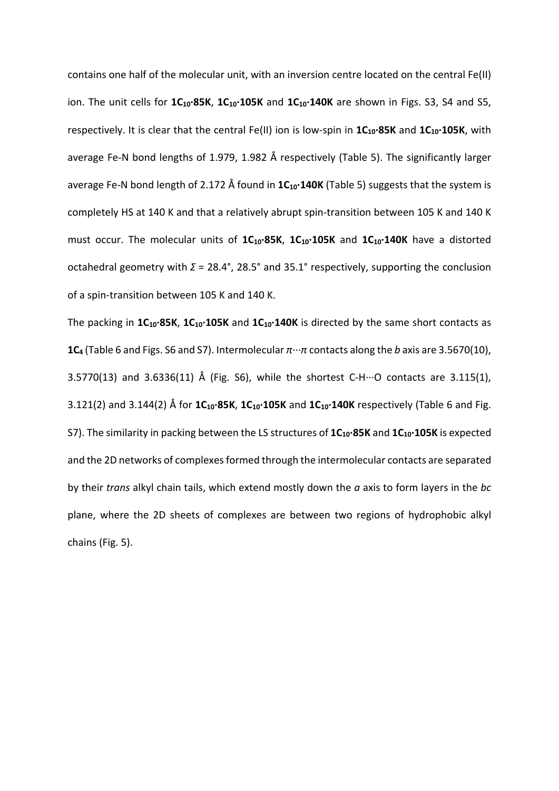contains one half of the molecular unit, with an inversion centre located on the central Fe(II) ion. The unit cells for 1C<sub>10</sub>·85K, 1C<sub>10</sub>·105K and 1C<sub>10</sub>·140K are shown in Figs. S3, S4 and S5, respectively. It is clear that the central Fe(II) ion is low-spin in  $1C_{10}$ ·85K and  $1C_{10}$ ·105K, with average Fe-N bond lengths of 1.979, 1.982 Å respectively (Table 5). The significantly larger average Fe-N bond length of 2.172 Å found in 1C<sub>10</sub>·140K (Table 5) suggests that the system is completely HS at 140 K and that a relatively abrupt spin-transition between 105 K and 140 K must occur. The molecular units of  $1C_{10}$ ·85K,  $1C_{10}$ ·105K and  $1C_{10}$ ·140K have a distorted octahedral geometry with *Σ* = 28.4°, 28.5° and 35.1° respectively, supporting the conclusion of a spin-transition between 105 K and 140 K.

The packing in **1C10·85K**, **1C10·105K** and **1C10·140K** is directed by the same short contacts as **1C4** (Table 6 and Figs. S6 and S7). Intermolecular *π···π* contacts along the *b* axis are 3.5670(10), 3.5770(13) and 3.6336(11) Å (Fig. S6), while the shortest C-H $\cdots$ O contacts are 3.115(1), 3.121(2) and 3.144(2) Å for **1C10·85K**, **1C10·105K** and **1C10·140K** respectively (Table 6 and Fig. S7). The similarity in packing between the LS structures of  $1C_{10}$ ·85K and  $1C_{10}$ ·105K is expected and the 2D networks of complexes formed through the intermolecular contacts are separated by their *trans* alkyl chain tails, which extend mostly down the *a* axis to form layers in the *bc* plane, where the 2D sheets of complexes are between two regions of hydrophobic alkyl chains (Fig. 5).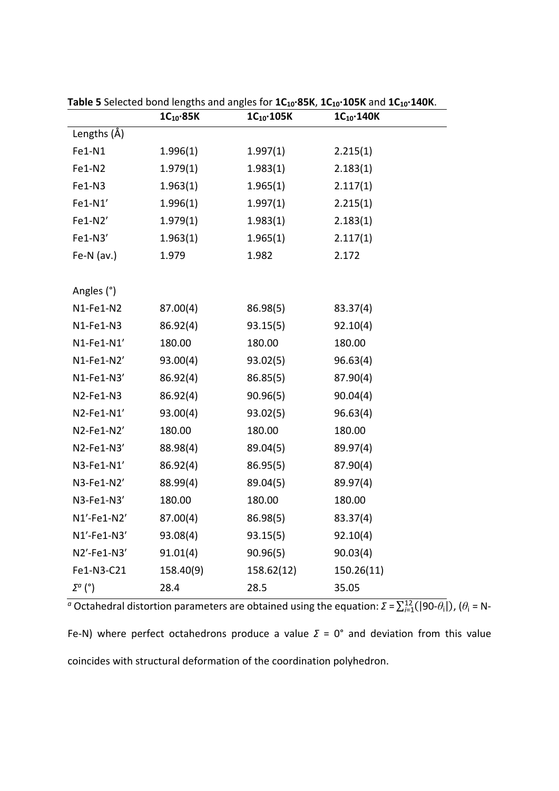|                | $1C_{10}$ ·85K | $1C_{10}$ ·105K | $1C_{10}$ ·140K |
|----------------|----------------|-----------------|-----------------|
| Lengths (Å)    |                |                 |                 |
| Fe1-N1         | 1.996(1)       | 1.997(1)        | 2.215(1)        |
| Fe1-N2         | 1.979(1)       | 1.983(1)        | 2.183(1)        |
| Fe1-N3         | 1.963(1)       | 1.965(1)        | 2.117(1)        |
| Fe1-N1'        | 1.996(1)       | 1.997(1)        | 2.215(1)        |
| Fe1-N2'        | 1.979(1)       | 1.983(1)        | 2.183(1)        |
| Fe1-N3'        | 1.963(1)       | 1.965(1)        | 2.117(1)        |
| Fe-N $(av.)$   | 1.979          | 1.982           | 2.172           |
|                |                |                 |                 |
| Angles (°)     |                |                 |                 |
| N1-Fe1-N2      | 87.00(4)       | 86.98(5)        | 83.37(4)        |
| N1-Fe1-N3      | 86.92(4)       | 93.15(5)        | 92.10(4)        |
| $N1$ -Fe1-N1'  | 180.00         | 180.00          | 180.00          |
| N1-Fe1-N2'     | 93.00(4)       | 93.02(5)        | 96.63(4)        |
| N1-Fe1-N3'     | 86.92(4)       | 86.85(5)        | 87.90(4)        |
| N2-Fe1-N3      | 86.92(4)       | 90.96(5)        | 90.04(4)        |
| N2-Fe1-N1'     | 93.00(4)       | 93.02(5)        | 96.63(4)        |
| N2-Fe1-N2'     | 180.00         | 180.00          | 180.00          |
| N2-Fe1-N3'     | 88.98(4)       | 89.04(5)        | 89.97(4)        |
| N3-Fe1-N1'     | 86.92(4)       | 86.95(5)        | 87.90(4)        |
| N3-Fe1-N2'     | 88.99(4)       | 89.04(5)        | 89.97(4)        |
| N3-Fe1-N3'     | 180.00         | 180.00          | 180.00          |
| $N1'$ -Fe1-N2' | 87.00(4)       | 86.98(5)        | 83.37(4)        |
| $N1'$ -Fe1-N3' | 93.08(4)       | 93.15(5)        | 92.10(4)        |
| N2'-Fe1-N3'    | 91.01(4)       | 90.96(5)        | 90.03(4)        |
| Fe1-N3-C21     | 158.40(9)      | 158.62(12)      | 150.26(11)      |
| $\Sigma^a$ (°) | 28.4           | 28.5            | 35.05           |

**Table 5** Selected bond lengths and angles for **1C10·85K**, **1C10·105K** and **1C10·140K**.

 $^a$  Octahedral distortion parameters are obtained using the equation:  $\Sigma = \sum_{i=1}^{12} (|90-\theta_i|)$ ,  $(\theta_i = N-$ Fe-N) where perfect octahedrons produce a value *Σ* = 0° and deviation from this value coincides with structural deformation of the coordination polyhedron.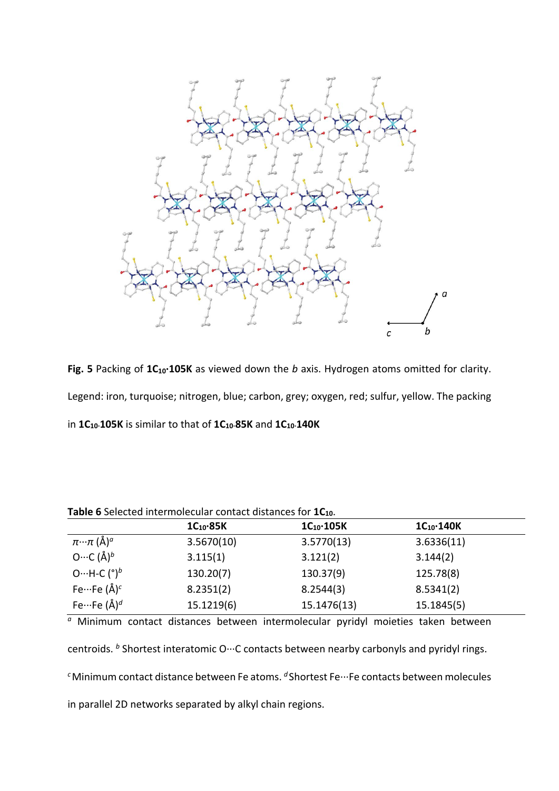

Fig. 5 Packing of 1C<sub>10</sub>·105K as viewed down the *b* axis. Hydrogen atoms omitted for clarity. Legend: iron, turquoise; nitrogen, blue; carbon, grey; oxygen, red; sulfur, yellow. The packing in **1C10·105K** is similar to that of **1C10·85K** and **1C10·140K**

|                                        | $1C_{10}$ -85K | $1C_{10}$ 105K | $1C_{10}$ $\cdot$ 140K |  |
|----------------------------------------|----------------|----------------|------------------------|--|
| $\pi \cdot \cdot \pi$ (Å) <sup>a</sup> | 3.5670(10)     | 3.5770(13)     | 3.6336(11)             |  |
| O…C $(\AA)^b$                          | 3.115(1)       | 3.121(2)       | 3.144(2)               |  |
| O…H-C $({}^{\circ})^b$                 | 130.20(7)      | 130.37(9)      | 125.78(8)              |  |
| Fe $\cdots$ Fe (Å) <sup>c</sup>        | 8.2351(2)      | 8.2544(3)      | 8.5341(2)              |  |
| Fe $\cdots$ Fe (Å) <sup>d</sup>        | 15.1219(6)     | 15.1476(13)    | 15.1845(5)             |  |
|                                        |                |                |                        |  |

**Table 6** Selected intermolecular contact distances for **1C10**.

*<sup>a</sup>* Minimum contact distances between intermolecular pyridyl moieties taken between centroids. <sup>b</sup> Shortest interatomic O···C contacts between nearby carbonyls and pyridyl rings. <sup>c</sup>Minimum contact distance between Fe atoms. <sup>*d*</sup>Shortest Fe…Fe contacts between molecules in parallel 2D networks separated by alkyl chain regions.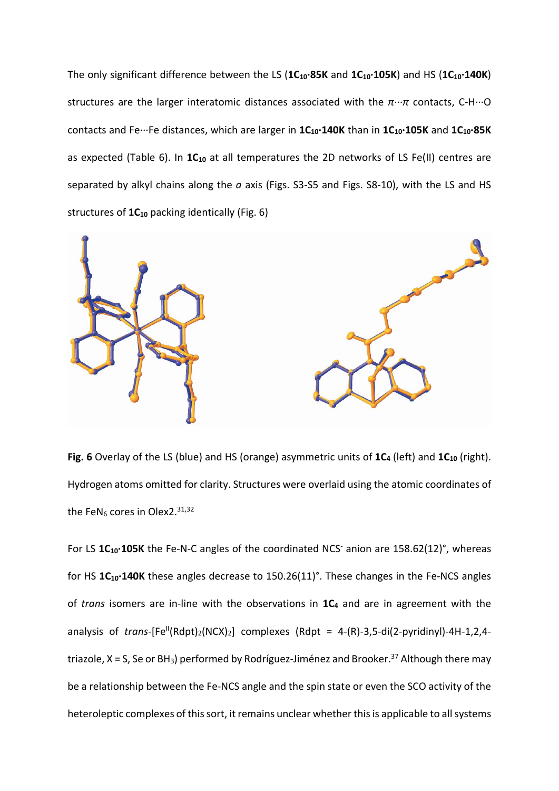The only significant difference between the LS (**1C10·85K** and **1C10·105K**) and HS (**1C10·140K**) structures are the larger interatomic distances associated with the *π···π* contacts, C-H···O contacts and Fe···Fe distances, which are larger in **1C10·140K** than in **1C10·105K** and **1C10·85K** as expected (Table 6). In 1C<sub>10</sub> at all temperatures the 2D networks of LS Fe(II) centres are separated by alkyl chains along the *a* axis (Figs. S3-S5 and Figs. S8-10), with the LS and HS structures of  $1C_{10}$  packing identically (Fig. 6)



Fig. 6 Overlay of the LS (blue) and HS (orange) asymmetric units of 1C<sub>4</sub> (left) and 1C<sub>10</sub> (right). Hydrogen atoms omitted for clarity. Structures were overlaid using the atomic coordinates of the FeN $_6$  cores in Olex2.<sup>31,32</sup>

For LS 1C<sub>10</sub>·105K the Fe-N-C angles of the coordinated NCS<sup>-</sup> anion are 158.62(12)°, whereas for HS **1C10·140K** these angles decrease to 150.26(11)°. These changes in the Fe-NCS angles of *trans* isomers are in-line with the observations in **1C4** and are in agreement with the analysis of *trans*-[Fe<sup>II</sup>(Rdpt)<sub>2</sub>(NCX)<sub>2</sub>] complexes (Rdpt = 4-(R)-3,5-di(2-pyridinyl)-4H-1,2,4triazole,  $X = S$ , Se or BH<sub>3</sub>) performed by Rodríguez-Jiménez and Brooker.<sup>37</sup> Although there may be a relationship between the Fe-NCS angle and the spin state or even the SCO activity of the heteroleptic complexes of this sort, it remains unclear whether this is applicable to all systems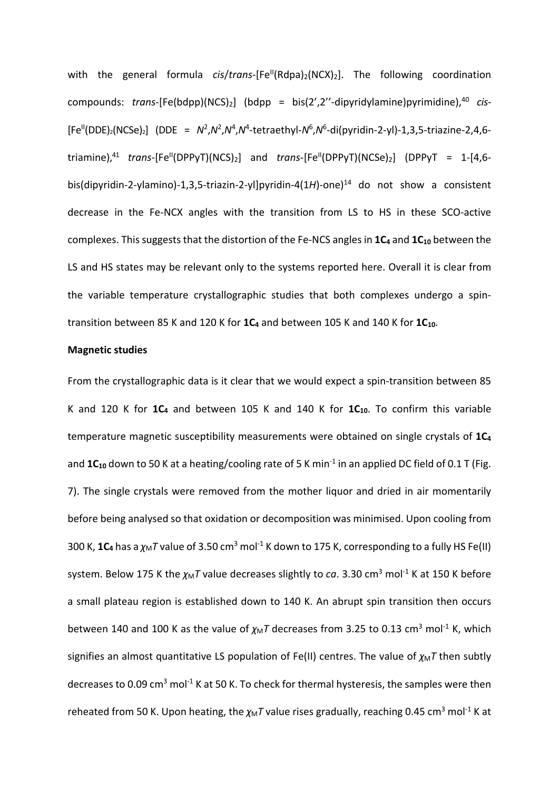with the general formula *cis/trans*-[Fe<sup>II</sup>(Rdpa)<sub>2</sub>(NCX)<sub>2</sub>]. The following coordination compounds: *trans*-[Fe(bdpp)(NCS)<sub>2</sub>] (bdpp = bis(2',2"-dipyridylamine)pyrimidine),<sup>40</sup> *cis*- $[Fe^{II}(DDE)_{2}(NCSe)_{2}]$  (DDE =  $N^{2}$ , $N^{2}$ , $N^{4}$ , $N^{4}$ -tetraethyl- $N^{6}$ , $N^{6}$ -di(pyridin-2-yl)-1,3,5-triazine-2,4,6triamine),<sup>41</sup> *trans*-[Fe<sup>II</sup>(DPPyT)(NCS)<sub>2</sub>] and *trans*-[Fe<sup>II</sup>(DPPyT)(NCSe)<sub>2</sub>] (DPPyT = 1-[4,6bis(dipyridin-2-ylamino)-1,3,5-triazin-2-yl]pyridin-4(1*H*)-one) <sup>14</sup> do not show a consistent decrease in the Fe-NCX angles with the transition from LS to HS in these SCO-active complexes. This suggests that the distortion of the Fe-NCS angles in 1C<sub>4</sub> and 1C<sub>10</sub> between the LS and HS states may be relevant only to the systems reported here. Overall it is clear from the variable temperature crystallographic studies that both complexes undergo a spintransition between 85 K and 120 K for 1C<sub>4</sub> and between 105 K and 140 K for 1C<sub>10</sub>.

## **Magnetic studies**

From the crystallographic data is it clear that we would expect a spin-transition between 85 K and 120 K for 1C<sub>4</sub> and between 105 K and 140 K for 1C<sub>10</sub>. To confirm this variable temperature magnetic susceptibility measurements were obtained on single crystals of **1C4** and 1C<sub>10</sub> down to 50 K at a heating/cooling rate of 5 K min<sup>-1</sup> in an applied DC field of 0.1 T (Fig. 7). The single crystals were removed from the mother liquor and dried in air momentarily before being analysed so that oxidation or decomposition was minimised. Upon cooling from 300 K,  $1C_4$  has a  $\chi_M T$  value of 3.50 cm<sup>3</sup> mol<sup>-1</sup> K down to 175 K, corresponding to a fully HS Fe(II) system. Below 175 K the  $\chi_M T$  value decreases slightly to *ca*. 3.30 cm<sup>3</sup> mol<sup>-1</sup> K at 150 K before a small plateau region is established down to 140 K. An abrupt spin transition then occurs between 140 and 100 K as the value of  $\chi_M T$  decreases from 3.25 to 0.13 cm<sup>3</sup> mol<sup>-1</sup> K, which signifies an almost quantitative LS population of Fe(II) centres. The value of  $\chi_M T$  then subtly decreases to 0.09 cm<sup>3</sup> mol<sup>-1</sup> K at 50 K. To check for thermal hysteresis, the samples were then reheated from 50 K. Upon heating, the  $\chi_M T$  value rises gradually, reaching 0.45 cm<sup>3</sup> mol<sup>-1</sup> K at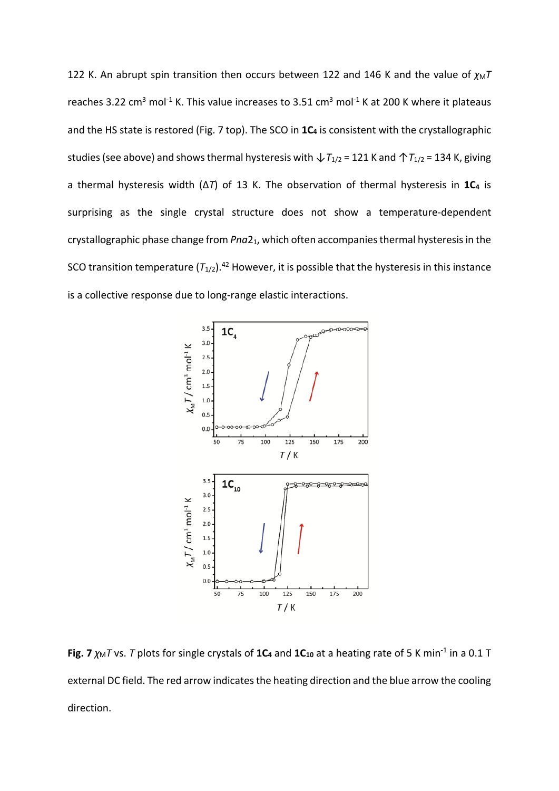122 K. An abrupt spin transition then occurs between 122 and 146 K and the value of  $\chi_M T$ reaches 3.22 cm<sup>3</sup> mol<sup>-1</sup> K. This value increases to 3.51 cm<sup>3</sup> mol<sup>-1</sup> K at 200 K where it plateaus and the HS state is restored (Fig. 7 top). The SCO in  $1C_4$  is consistent with the crystallographic studies (see above) and shows thermal hysteresis with  $\sqrt{I_{1/2}}$  = 121 K and  $\sqrt{\frac{I_{1/2}}{I_{1/2}}}$  = 134 K, giving a thermal hysteresis width (Δ*T*) of 13 K. The observation of thermal hysteresis in **1C4** is surprising as the single crystal structure does not show a temperature-dependent crystallographic phase change from *Pna*21, which often accompanies thermal hysteresis in the SCO transition temperature  $(T_{1/2})$ .<sup>42</sup> However, it is possible that the hysteresis in this instance is a collective response due to long-range elastic interactions.



**Fig. 7**  $\chi_M$ *T* vs. *T* plots for single crystals of 1C<sub>4</sub> and 1C<sub>10</sub> at a heating rate of 5 K min<sup>-1</sup> in a 0.1 T external DC field. The red arrow indicates the heating direction and the blue arrow the cooling direction.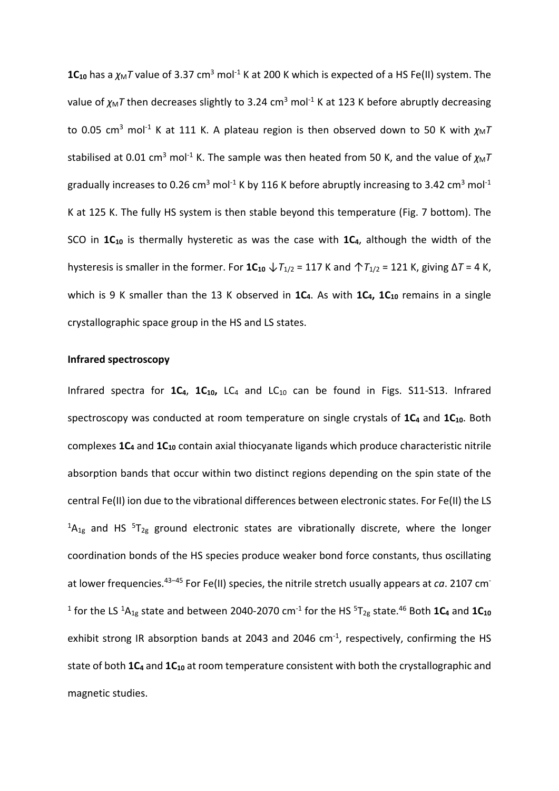**1C<sub>10</sub>** has a  $\chi_M T$  value of 3.37 cm<sup>3</sup> mol<sup>-1</sup> K at 200 K which is expected of a HS Fe(II) system. The value of  $\chi_M T$  then decreases slightly to 3.24 cm<sup>3</sup> mol<sup>-1</sup> K at 123 K before abruptly decreasing to 0.05 cm<sup>3</sup> mol<sup>-1</sup> K at 111 K. A plateau region is then observed down to 50 K with  $\chi_M T$ stabilised at 0.01 cm<sup>3</sup> mol<sup>-1</sup> K. The sample was then heated from 50 K, and the value of  $\chi_M T$ gradually increases to 0.26 cm<sup>3</sup> mol<sup>-1</sup> K by 116 K before abruptly increasing to 3.42 cm<sup>3</sup> mol<sup>-1</sup> K at 125 K. The fully HS system is then stable beyond this temperature (Fig. 7 bottom). The SCO in 1C<sub>10</sub> is thermally hysteretic as was the case with 1C<sub>4</sub>, although the width of the hysteresis is smaller in the former. For  $1C_{10} \downarrow T_{1/2} = 117$  K and  $\uparrow T_{1/2} = 121$  K, giving  $\Delta T = 4$  K, which is 9 K smaller than the 13 K observed in **1C**<sub>4</sub>. As with **1C**<sub>4</sub>, **1C**<sub>10</sub> remains in a single crystallographic space group in the HS and LS states.

#### **Infrared spectroscopy**

Infrared spectra for 1C<sub>4</sub>, 1C<sub>10</sub>, LC<sub>4</sub> and LC<sub>10</sub> can be found in Figs. S11-S13. Infrared spectroscopy was conducted at room temperature on single crystals of 1C<sub>4</sub> and 1C<sub>10</sub>. Both complexes **1C4** and **1C10** contain axial thiocyanate ligands which produce characteristic nitrile absorption bands that occur within two distinct regions depending on the spin state of the central Fe(II) ion due to the vibrational differences between electronic states. For Fe(II) the LS  ${}^{1}A_{1g}$  and HS  ${}^{5}T_{2g}$  ground electronic states are vibrationally discrete, where the longer coordination bonds of the HS species produce weaker bond force constants, thus oscillating at lower frequencies.43–45 For Fe(II) species, the nitrile stretch usually appears at *ca*. 2107 cm-<sup>1</sup> for the LS <sup>1</sup>A<sub>1g</sub> state and between 2040-2070 cm<sup>-1</sup> for the HS <sup>5</sup>T<sub>2g</sub> state.<sup>46</sup> Both **1C**<sub>4</sub> and **1C**<sub>10</sub> exhibit strong IR absorption bands at 2043 and 2046  $cm<sup>-1</sup>$ , respectively, confirming the HS state of both **1C<sub>4</sub>** and **1C<sub>10</sub>** at room temperature consistent with both the crystallographic and magnetic studies.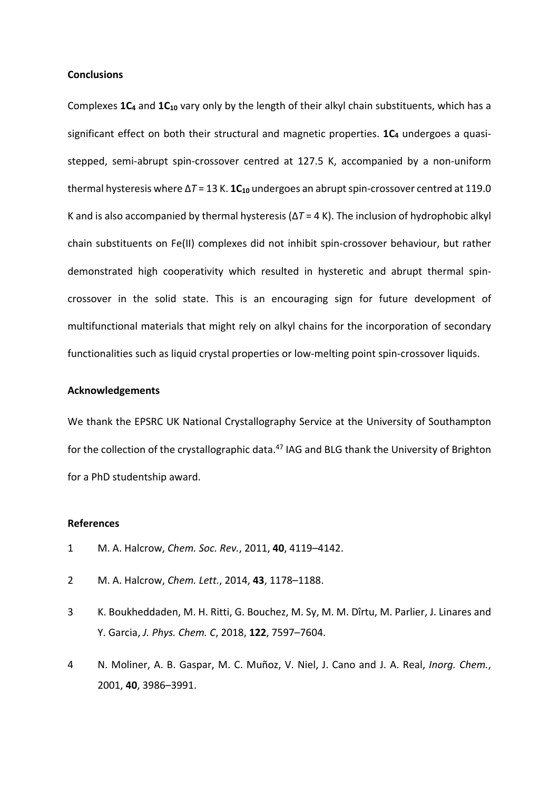### **Conclusions**

Complexes 1C<sub>4</sub> and 1C<sub>10</sub> vary only by the length of their alkyl chain substituents, which has a significant effect on both their structural and magnetic properties. 1C<sub>4</sub> undergoes a quasistepped, semi-abrupt spin-crossover centred at 127.5 K, accompanied by a non-uniform thermal hysteresis where Δ*T* = 13 K. **1C10** undergoes an abrupt spin-crossover centred at 119.0 K and is also accompanied by thermal hysteresis (Δ*T* = 4 K). The inclusion of hydrophobic alkyl chain substituents on Fe(II) complexes did not inhibit spin-crossover behaviour, but rather demonstrated high cooperativity which resulted in hysteretic and abrupt thermal spincrossover in the solid state. This is an encouraging sign for future development of multifunctional materials that might rely on alkyl chains for the incorporation of secondary functionalities such as liquid crystal properties or low-melting point spin-crossover liquids.

### **Acknowledgements**

We thank the EPSRC UK National Crystallography Service at the University of Southampton for the collection of the crystallographic data.<sup>47</sup> IAG and BLG thank the University of Brighton for a PhD studentship award.

### **References**

- 1 M. A. Halcrow, *Chem. Soc. Rev.*, 2011, **40**, 4119–4142.
- 2 M. A. Halcrow, *Chem. Lett.*, 2014, **43**, 1178–1188.
- 3 K. Boukheddaden, M. H. Ritti, G. Bouchez, M. Sy, M. M. Dîrtu, M. Parlier, J. Linares and Y. Garcia, *J. Phys. Chem. C*, 2018, **122**, 7597–7604.
- 4 N. Moliner, A. B. Gaspar, M. C. Muñoz, V. Niel, J. Cano and J. A. Real, *Inorg. Chem.*, 2001, **40**, 3986–3991.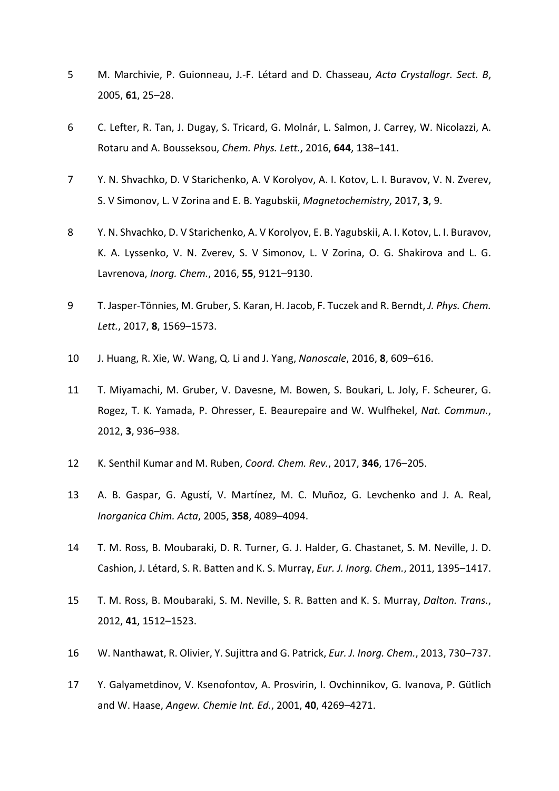- 5 M. Marchivie, P. Guionneau, J.-F. Létard and D. Chasseau, *Acta Crystallogr. Sect. B*, 2005, **61**, 25–28.
- 6 C. Lefter, R. Tan, J. Dugay, S. Tricard, G. Molnár, L. Salmon, J. Carrey, W. Nicolazzi, A. Rotaru and A. Bousseksou, *Chem. Phys. Lett.*, 2016, **644**, 138–141.
- 7 Y. N. Shvachko, D. V Starichenko, A. V Korolyov, A. I. Kotov, L. I. Buravov, V. N. Zverev, S. V Simonov, L. V Zorina and E. B. Yagubskii, *Magnetochemistry*, 2017, **3**, 9.
- 8 Y. N. Shvachko, D. V Starichenko, A. V Korolyov, E. B. Yagubskii, A. I. Kotov, L. I. Buravov, K. A. Lyssenko, V. N. Zverev, S. V Simonov, L. V Zorina, O. G. Shakirova and L. G. Lavrenova, *Inorg. Chem.*, 2016, **55**, 9121–9130.
- 9 T. Jasper-Tönnies, M. Gruber, S. Karan, H. Jacob, F. Tuczek and R. Berndt, *J. Phys. Chem. Lett.*, 2017, **8**, 1569–1573.
- 10 J. Huang, R. Xie, W. Wang, Q. Li and J. Yang, *Nanoscale*, 2016, **8**, 609–616.
- 11 T. Miyamachi, M. Gruber, V. Davesne, M. Bowen, S. Boukari, L. Joly, F. Scheurer, G. Rogez, T. K. Yamada, P. Ohresser, E. Beaurepaire and W. Wulfhekel, *Nat. Commun.*, 2012, **3**, 936–938.
- 12 K. Senthil Kumar and M. Ruben, *Coord. Chem. Rev.*, 2017, **346**, 176–205.
- 13 A. B. Gaspar, G. Agustí, V. Martínez, M. C. Muñoz, G. Levchenko and J. A. Real, *Inorganica Chim. Acta*, 2005, **358**, 4089–4094.
- 14 T. M. Ross, B. Moubaraki, D. R. Turner, G. J. Halder, G. Chastanet, S. M. Neville, J. D. Cashion, J. Létard, S. R. Batten and K. S. Murray, *Eur. J. Inorg. Chem.*, 2011, 1395–1417.
- 15 T. M. Ross, B. Moubaraki, S. M. Neville, S. R. Batten and K. S. Murray, *Dalton. Trans.*, 2012, **41**, 1512–1523.
- 16 W. Nanthawat, R. Olivier, Y. Sujittra and G. Patrick, *Eur. J. Inorg. Chem.*, 2013, 730–737.
- 17 Y. Galyametdinov, V. Ksenofontov, A. Prosvirin, I. Ovchinnikov, G. Ivanova, P. Gütlich and W. Haase, *Angew. Chemie Int. Ed.*, 2001, **40**, 4269–4271.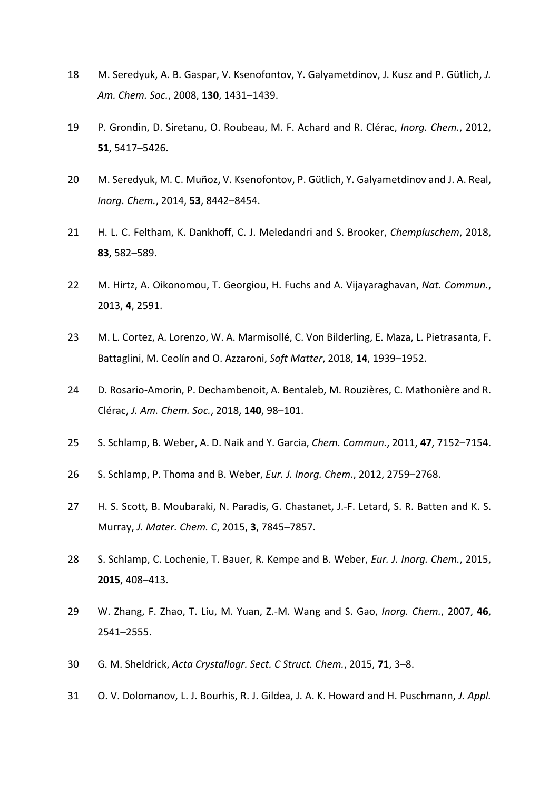- M. Seredyuk, A. B. Gaspar, V. Ksenofontov, Y. Galyametdinov, J. Kusz and P. Gütlich, *J. Am. Chem. Soc.*, 2008, **130**, 1431–1439.
- P. Grondin, D. Siretanu, O. Roubeau, M. F. Achard and R. Clérac, *Inorg. Chem.*, 2012, , 5417–5426.
- M. Seredyuk, M. C. Muñoz, V. Ksenofontov, P. Gütlich, Y. Galyametdinov and J. A. Real, *Inorg. Chem.*, 2014, **53**, 8442–8454.
- H. L. C. Feltham, K. Dankhoff, C. J. Meledandri and S. Brooker, *Chempluschem*, 2018, , 582–589.
- M. Hirtz, A. Oikonomou, T. Georgiou, H. Fuchs and A. Vijayaraghavan, *Nat. Commun.*, 2013, **4**, 2591.
- M. L. Cortez, A. Lorenzo, W. A. Marmisollé, C. Von Bilderling, E. Maza, L. Pietrasanta, F. Battaglini, M. Ceolín and O. Azzaroni, *Soft Matter*, 2018, **14**, 1939–1952.
- D. Rosario-Amorin, P. Dechambenoit, A. Bentaleb, M. Rouzières, C. Mathonière and R. Clérac, *J. Am. Chem. Soc.*, 2018, **140**, 98–101.
- S. Schlamp, B. Weber, A. D. Naik and Y. Garcia, *Chem. Commun.*, 2011, **47**, 7152–7154.
- S. Schlamp, P. Thoma and B. Weber, *Eur. J. Inorg. Chem.*, 2012, 2759–2768.
- H. S. Scott, B. Moubaraki, N. Paradis, G. Chastanet, J.-F. Letard, S. R. Batten and K. S. Murray, *J. Mater. Chem. C*, 2015, **3**, 7845–7857.
- S. Schlamp, C. Lochenie, T. Bauer, R. Kempe and B. Weber, *Eur. J. Inorg. Chem.*, 2015, , 408–413.
- W. Zhang, F. Zhao, T. Liu, M. Yuan, Z.-M. Wang and S. Gao, *Inorg. Chem.*, 2007, **46**, 2541–2555.
- G. M. Sheldrick, *Acta Crystallogr. Sect. C Struct. Chem.*, 2015, **71**, 3–8.
- O. V. Dolomanov, L. J. Bourhis, R. J. Gildea, J. A. K. Howard and H. Puschmann, *J. Appl.*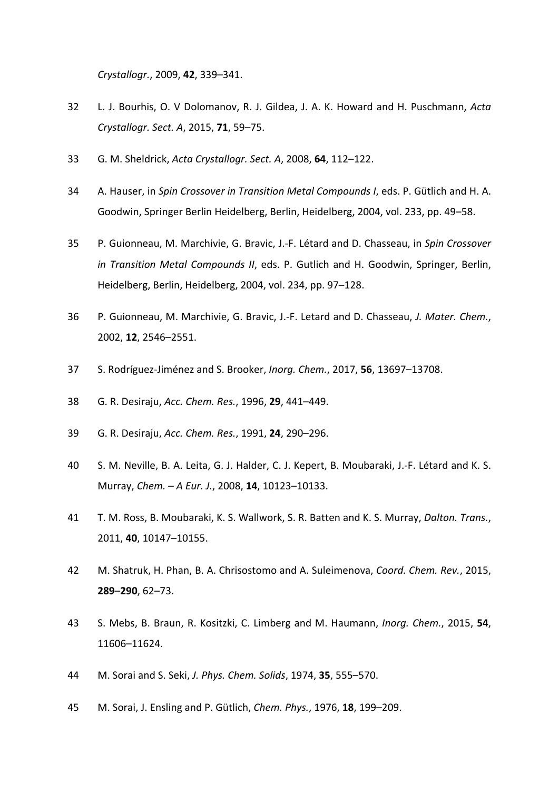*Crystallogr.*, 2009, **42**, 339–341.

- L. J. Bourhis, O. V Dolomanov, R. J. Gildea, J. A. K. Howard and H. Puschmann, *Acta Crystallogr. Sect. A*, 2015, **71**, 59–75.
- G. M. Sheldrick, *Acta Crystallogr. Sect. A*, 2008, **64**, 112–122.
- A. Hauser, in *Spin Crossover in Transition Metal Compounds I*, eds. P. Gütlich and H. A. Goodwin, Springer Berlin Heidelberg, Berlin, Heidelberg, 2004, vol. 233, pp. 49–58.
- P. Guionneau, M. Marchivie, G. Bravic, J.-F. Létard and D. Chasseau, in *Spin Crossover in Transition Metal Compounds II*, eds. P. Gutlich and H. Goodwin, Springer, Berlin, Heidelberg, Berlin, Heidelberg, 2004, vol. 234, pp. 97–128.
- P. Guionneau, M. Marchivie, G. Bravic, J.-F. Letard and D. Chasseau, *J. Mater. Chem.*, 2002, **12**, 2546–2551.
- S. Rodríguez-Jiménez and S. Brooker, *Inorg. Chem.*, 2017, **56**, 13697–13708.
- G. R. Desiraju, *Acc. Chem. Res.*, 1996, **29**, 441–449.
- G. R. Desiraju, *Acc. Chem. Res.*, 1991, **24**, 290–296.
- S. M. Neville, B. A. Leita, G. J. Halder, C. J. Kepert, B. Moubaraki, J.-F. Létard and K. S. Murray, *Chem. – A Eur. J.*, 2008, **14**, 10123–10133.
- T. M. Ross, B. Moubaraki, K. S. Wallwork, S. R. Batten and K. S. Murray, *Dalton. Trans.*, 2011, **40**, 10147–10155.
- M. Shatruk, H. Phan, B. A. Chrisostomo and A. Suleimenova, *Coord. Chem. Rev.*, 2015, –**290**, 62–73.
- S. Mebs, B. Braun, R. Kositzki, C. Limberg and M. Haumann, *Inorg. Chem.*, 2015, **54**, 11606–11624.
- M. Sorai and S. Seki, *J. Phys. Chem. Solids*, 1974, **35**, 555–570.
- M. Sorai, J. Ensling and P. Gütlich, *Chem. Phys.*, 1976, **18**, 199–209.